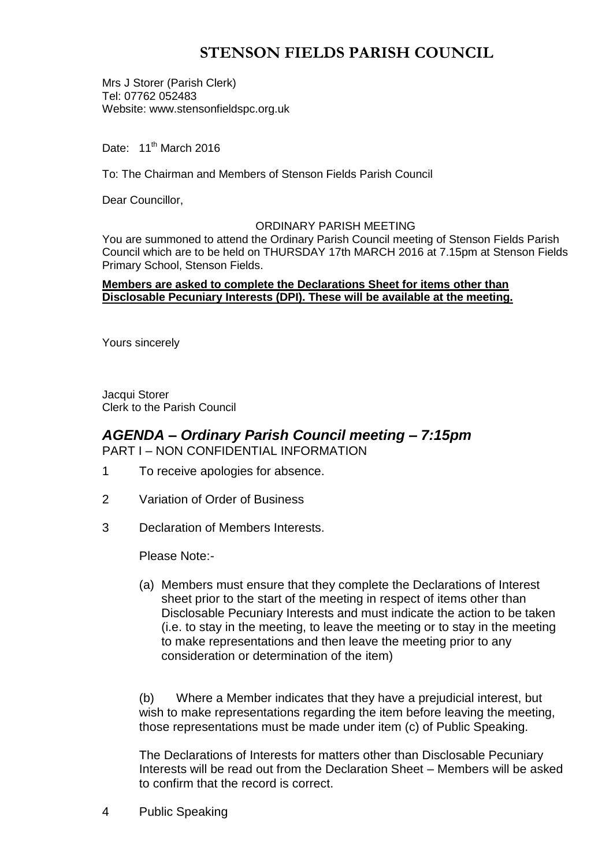# **STENSON FIELDS PARISH COUNCIL**

Mrs J Storer (Parish Clerk) Tel: 07762 052483 Website: www.stensonfieldspc.org.uk

Date: 11<sup>th</sup> March 2016

To: The Chairman and Members of Stenson Fields Parish Council

Dear Councillor,

#### ORDINARY PARISH MEETING

You are summoned to attend the Ordinary Parish Council meeting of Stenson Fields Parish Council which are to be held on THURSDAY 17th MARCH 2016 at 7.15pm at Stenson Fields Primary School, Stenson Fields.

#### **Members are asked to complete the Declarations Sheet for items other than Disclosable Pecuniary Interests (DPI). These will be available at the meeting.**

Yours sincerely

Jacqui Storer Clerk to the Parish Council

## *AGENDA – Ordinary Parish Council meeting – 7:15pm* PART I – NON CONFIDENTIAL INFORMATION

- 1 To receive apologies for absence.
- 2 Variation of Order of Business
- 3 Declaration of Members Interests.

Please Note:-

(a) Members must ensure that they complete the Declarations of Interest sheet prior to the start of the meeting in respect of items other than Disclosable Pecuniary Interests and must indicate the action to be taken (i.e. to stay in the meeting, to leave the meeting or to stay in the meeting to make representations and then leave the meeting prior to any consideration or determination of the item)

(b) Where a Member indicates that they have a prejudicial interest, but wish to make representations regarding the item before leaving the meeting, those representations must be made under item (c) of Public Speaking.

The Declarations of Interests for matters other than Disclosable Pecuniary Interests will be read out from the Declaration Sheet – Members will be asked to confirm that the record is correct.

4 Public Speaking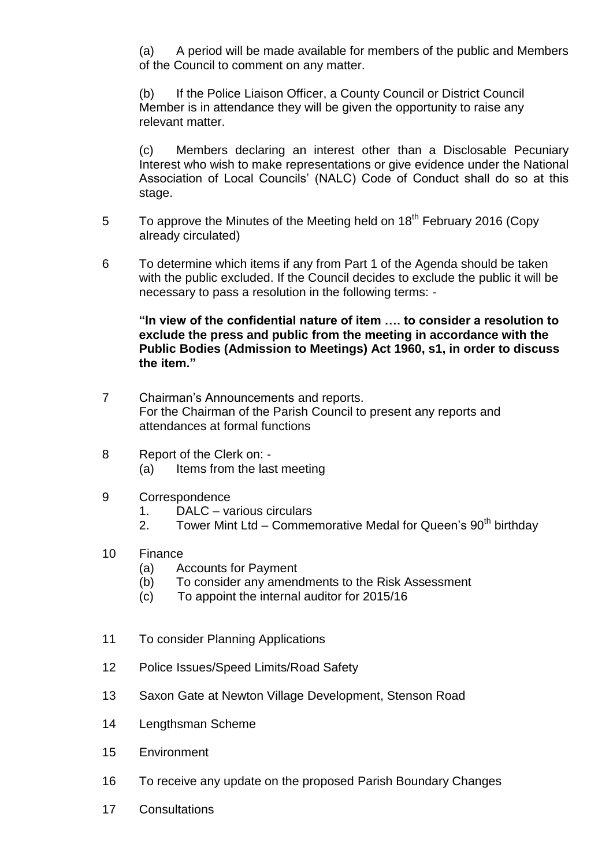(a) A period will be made available for members of the public and Members of the Council to comment on any matter.

(b) If the Police Liaison Officer, a County Council or District Council Member is in attendance they will be given the opportunity to raise any relevant matter.

(c) Members declaring an interest other than a Disclosable Pecuniary Interest who wish to make representations or give evidence under the National Association of Local Councils' (NALC) Code of Conduct shall do so at this stage.

- 5 To approve the Minutes of the Meeting held on 18<sup>th</sup> February 2016 (Copy already circulated)
- 6 To determine which items if any from Part 1 of the Agenda should be taken with the public excluded. If the Council decides to exclude the public it will be necessary to pass a resolution in the following terms: -

**"In view of the confidential nature of item …. to consider a resolution to exclude the press and public from the meeting in accordance with the Public Bodies (Admission to Meetings) Act 1960, s1, in order to discuss the item."** 

- 7 Chairman's Announcements and reports. For the Chairman of the Parish Council to present any reports and attendances at formal functions
- 8 Report of the Clerk on: (a) Items from the last meeting
- 9 Correspondence
	- 1. DALC various circulars
	- 2. Tower Mint Ltd Commemorative Medal for Queen's  $90<sup>th</sup>$  birthdav
- 10 Finance
	- (a) Accounts for Payment
	- (b) To consider any amendments to the Risk Assessment
	- (c) To appoint the internal auditor for 2015/16
- 11 To consider Planning Applications
- 12 Police Issues/Speed Limits/Road Safety
- 13 Saxon Gate at Newton Village Development, Stenson Road
- 14 Lengthsman Scheme
- 15 Environment
- 16 To receive any update on the proposed Parish Boundary Changes
- 17 Consultations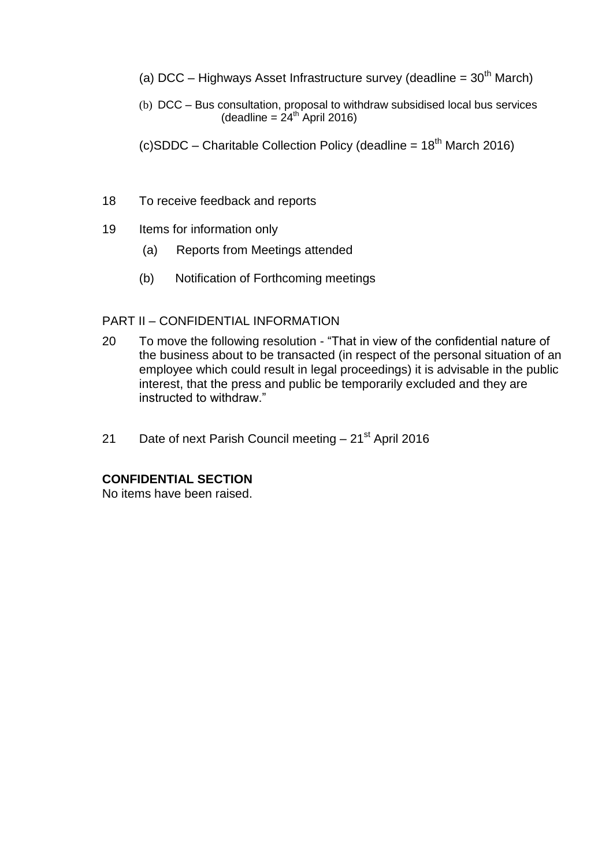- (a) DCC Highways Asset Infrastructure survey (deadline =  $30<sup>th</sup>$  March)
- (b) DCC Bus consultation, proposal to withdraw subsidised local bus services  $(deadline = 24<sup>th</sup>$  April 2016)
- (c)SDDC Charitable Collection Policy (deadline =  $18<sup>th</sup>$  March 2016)
- 18 To receive feedback and reports
- 19 Items for information only
	- (a) Reports from Meetings attended
	- (b) Notification of Forthcoming meetings

## PART II – CONFIDENTIAL INFORMATION

- 20 To move the following resolution "That in view of the confidential nature of the business about to be transacted (in respect of the personal situation of an employee which could result in legal proceedings) it is advisable in the public interest, that the press and public be temporarily excluded and they are instructed to withdraw."
- 21 Date of next Parish Council meeting  $-21$ <sup>st</sup> April 2016

# **CONFIDENTIAL SECTION**

No items have been raised.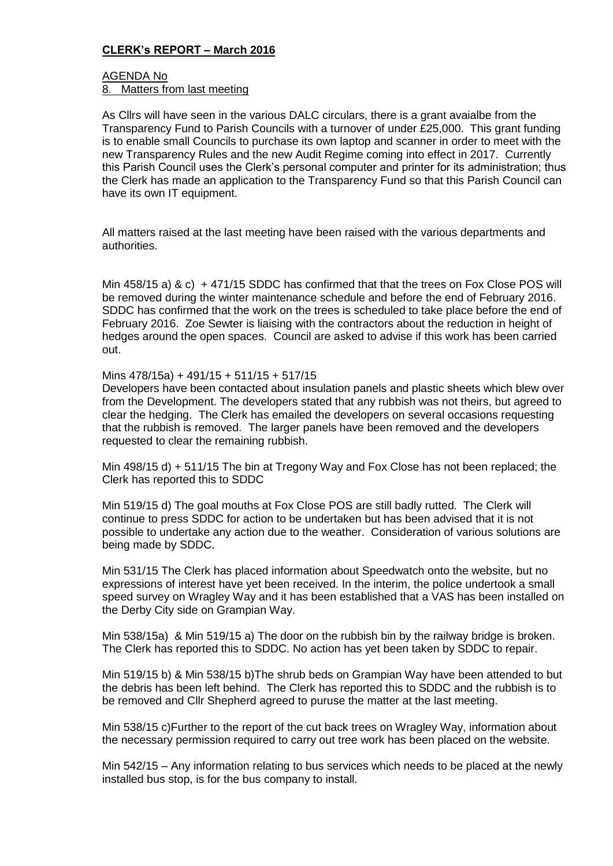### **CLERK's REPORT – March 2016**

# AGENDA No

8. Matters from last meeting

As Cllrs will have seen in the various DALC circulars, there is a grant avaialbe from the Transparency Fund to Parish Councils with a turnover of under £25,000. This grant funding is to enable small Councils to purchase its own laptop and scanner in order to meet with the new Transparency Rules and the new Audit Regime coming into effect in 2017. Currently this Parish Council uses the Clerk's personal computer and printer for its administration; thus the Clerk has made an application to the Transparency Fund so that this Parish Council can have its own IT equipment.

All matters raised at the last meeting have been raised with the various departments and authorities.

Min 458/15 a) & c) + 471/15 SDDC has confirmed that that the trees on Fox Close POS will be removed during the winter maintenance schedule and before the end of February 2016. SDDC has confirmed that the work on the trees is scheduled to take place before the end of February 2016. Zoe Sewter is liaising with the contractors about the reduction in height of hedges around the open spaces. Council are asked to advise if this work has been carried out.

#### Mins 478/15a) + 491/15 + 511/15 + 517/15

Developers have been contacted about insulation panels and plastic sheets which blew over from the Development. The developers stated that any rubbish was not theirs, but agreed to clear the hedging. The Clerk has emailed the developers on several occasions requesting that the rubbish is removed. The larger panels have been removed and the developers requested to clear the remaining rubbish.

Min 498/15 d) + 511/15 The bin at Tregony Way and Fox Close has not been replaced; the Clerk has reported this to SDDC

Min 519/15 d) The goal mouths at Fox Close POS are still badly rutted. The Clerk will continue to press SDDC for action to be undertaken but has been advised that it is not possible to undertake any action due to the weather. Consideration of various solutions are being made by SDDC.

Min 531/15 The Clerk has placed information about Speedwatch onto the website, but no expressions of interest have yet been received. In the interim, the police undertook a small speed survey on Wragley Way and it has been established that a VAS has been installed on the Derby City side on Grampian Way.

Min 538/15a) & Min 519/15 a) The door on the rubbish bin by the railway bridge is broken. The Clerk has reported this to SDDC. No action has yet been taken by SDDC to repair.

Min 519/15 b) & Min 538/15 b)The shrub beds on Grampian Way have been attended to but the debris has been left behind. The Clerk has reported this to SDDC and the rubbish is to be removed and Cllr Shepherd agreed to puruse the matter at the last meeting.

Min 538/15 c)Further to the report of the cut back trees on Wragley Way, information about the necessary permission required to carry out tree work has been placed on the website.

Min 542/15 – Any information relating to bus services which needs to be placed at the newly installed bus stop, is for the bus company to install.